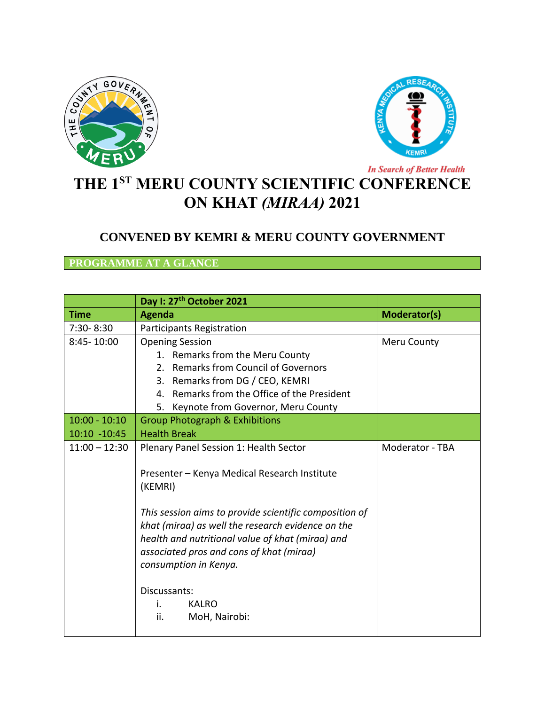



## **THE 1ST MERU COUNTY SCIENTIFIC CONFERENCE ON KHAT** *(MIRAA)* **2021**

## **CONVENED BY KEMRI & MERU COUNTY GOVERNMENT**

## **PROGRAMME AT A GLANCE**

|                 | Day I: 27 <sup>th</sup> October 2021                                                                                                                                                                                                                                                                                                                   |                 |
|-----------------|--------------------------------------------------------------------------------------------------------------------------------------------------------------------------------------------------------------------------------------------------------------------------------------------------------------------------------------------------------|-----------------|
| <b>Time</b>     | <b>Agenda</b>                                                                                                                                                                                                                                                                                                                                          | Moderator(s)    |
| 7:30-8:30       | Participants Registration                                                                                                                                                                                                                                                                                                                              |                 |
| 8:45-10:00      | <b>Opening Session</b>                                                                                                                                                                                                                                                                                                                                 | Meru County     |
|                 | 1. Remarks from the Meru County                                                                                                                                                                                                                                                                                                                        |                 |
|                 | 2. Remarks from Council of Governors                                                                                                                                                                                                                                                                                                                   |                 |
|                 | 3. Remarks from DG / CEO, KEMRI                                                                                                                                                                                                                                                                                                                        |                 |
|                 | 4. Remarks from the Office of the President                                                                                                                                                                                                                                                                                                            |                 |
|                 | 5. Keynote from Governor, Meru County                                                                                                                                                                                                                                                                                                                  |                 |
| $10:00 - 10:10$ | <b>Group Photograph &amp; Exhibitions</b>                                                                                                                                                                                                                                                                                                              |                 |
| 10:10 -10:45    | <b>Health Break</b>                                                                                                                                                                                                                                                                                                                                    |                 |
| $11:00 - 12:30$ | Plenary Panel Session 1: Health Sector                                                                                                                                                                                                                                                                                                                 | Moderator - TBA |
|                 | Presenter - Kenya Medical Research Institute<br>(KEMRI)<br>This session aims to provide scientific composition of<br>khat (miraa) as well the research evidence on the<br>health and nutritional value of khat (miraa) and<br>associated pros and cons of khat (miraa)<br>consumption in Kenya.<br>Discussants:<br>i.<br>KALRO<br>ii.<br>MoH, Nairobi: |                 |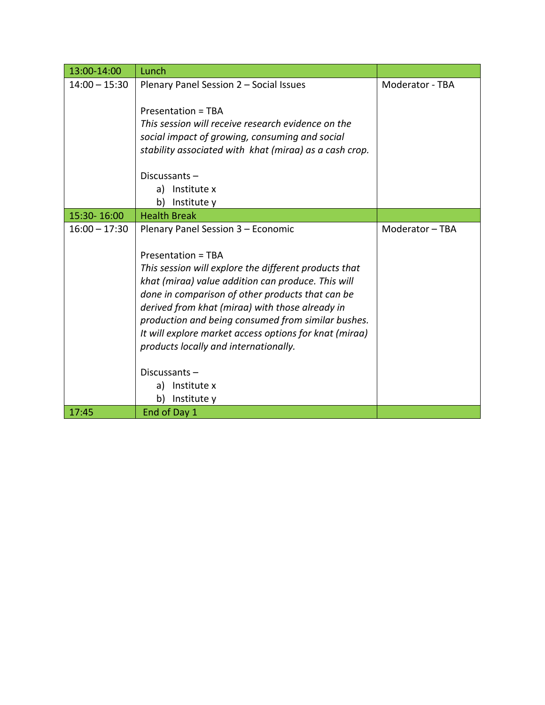| 13:00-14:00     | Lunch                                                  |                        |
|-----------------|--------------------------------------------------------|------------------------|
| $14:00 - 15:30$ | Plenary Panel Session 2 - Social Issues                | <b>Moderator - TBA</b> |
|                 |                                                        |                        |
|                 | <b>Presentation = TBA</b>                              |                        |
|                 | This session will receive research evidence on the     |                        |
|                 | social impact of growing, consuming and social         |                        |
|                 | stability associated with khat (miraa) as a cash crop. |                        |
|                 |                                                        |                        |
|                 | Discussants-                                           |                        |
|                 | Institute x<br>a)                                      |                        |
|                 | Institute y<br>b)                                      |                        |
| 15:30-16:00     | <b>Health Break</b>                                    |                        |
| $16:00 - 17:30$ | Plenary Panel Session 3 - Economic                     | Moderator - TBA        |
|                 |                                                        |                        |
|                 | Presentation = TBA                                     |                        |
|                 | This session will explore the different products that  |                        |
|                 | khat (miraa) value addition can produce. This will     |                        |
|                 | done in comparison of other products that can be       |                        |
|                 | derived from khat (miraa) with those already in        |                        |
|                 | production and being consumed from similar bushes.     |                        |
|                 | It will explore market access options for knat (miraa) |                        |
|                 | products locally and internationally.                  |                        |
|                 | Discussants-                                           |                        |
|                 | a) Institute x                                         |                        |
|                 | Institute y<br>b)                                      |                        |
| 17:45           | End of Day 1                                           |                        |
|                 |                                                        |                        |